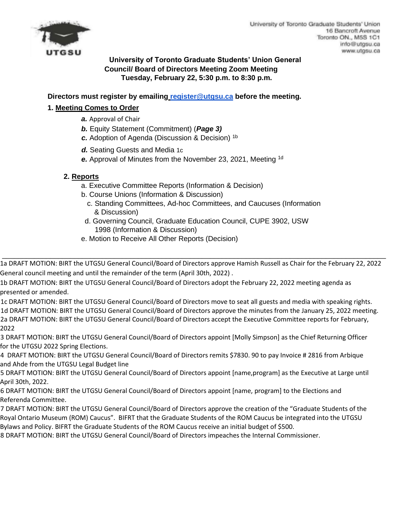

# **University of Toronto Graduate Students' Union General Council/ Board of Directors Meeting Zoom Meeting Tuesday, February 22, 5:30 p.m. to 8:30 p.m.**

**Directors must register by emailing register@utgsu.ca before the meeting.** 

# **1. Meeting Comes to Order**

- *a.* Approval of Chair
- *b.* Equity Statement (Commitment) (*Page 3)*
- *c.* Adoption of Agenda (Discussion & Decision) 1b
- d. Seating Guests and Media 1c
- *e.* Approval of Minutes from the November 23, 2021, Meeting 1d

### **2. Reports**

- a. Executive Committee Reports (Information & Decision)
- b. Course Unions (Information & Discussion)
	- c. Standing Committees, Ad-hoc Committees, and Caucuses (Information & Discussion)
- d. Governing Council, Graduate Education Council, CUPE 3902, USW 1998 (Information & Discussion)
- e. Motion to Receive All Other Reports (Decision)

1a DRAFT MOTION: BIRT the UTGSU General Council/Board of Directors approve Hamish Russell as Chair for the February 22, 2022 General council meeting and until the remainder of the term (April 30th, 2022) .

\_\_\_\_\_\_\_\_\_\_\_\_\_\_\_\_\_\_\_\_\_\_\_\_\_\_\_\_\_\_\_\_\_\_\_\_\_\_\_\_\_\_\_\_\_\_\_\_\_\_\_\_\_\_\_\_\_\_\_\_\_\_\_\_\_\_\_\_\_\_\_\_\_\_\_\_\_\_\_\_\_\_\_\_\_\_\_\_\_\_\_\_\_\_\_\_

1b DRAFT MOTION: BIRT the UTGSU General Council/Board of Directors adopt the February 22, 2022 meeting agenda as presented or amended.

1c DRAFT MOTION: BIRT the UTGSU General Council/Board of Directors move to seat all guests and media with speaking rights. 1d DRAFT MOTION: BIRT the UTGSU General Council/Board of Directors approve the minutes from the January 25, 2022 meeting. 2a DRAFT MOTION: BIRT the UTGSU General Council/Board of Directors accept the Executive Committee reports for February, 2022

3 DRAFT MOTION: BIRT the UTGSU General Council/Board of Directors appoint [Molly Simpson] as the Chief Returning Officer for the UTGSU 2022 Spring Elections.

4 DRAFT MOTION: BIRT the UTGSU General Council/Board of Directors remits \$7830. 90 to pay Invoice # 2816 from Arbique and Ahde from the UTGSU Legal Budget line

5 DRAFT MOTION: BIRT the UTGSU General Council/Board of Directors appoint [name,program] as the Executive at Large until April 30th, 2022.

6 DRAFT MOTION: BIRT the UTGSU General Council/Board of Directors appoint [name, program] to the Elections and Referenda Committee.

7 DRAFT MOTION: BIRT the UTGSU General Council/Board of Directors approve the creation of the "Graduate Students of the Royal Ontario Museum (ROM) Caucus". BIFRT that the Graduate Students of the ROM Caucus be integrated into the UTGSU Bylaws and Policy. BIFRT the Graduate Students of the ROM Caucus receive an initial budget of \$500.

8 DRAFT MOTION: BIRT the UTGSU General Council/Board of Directors impeaches the Internal Commissioner.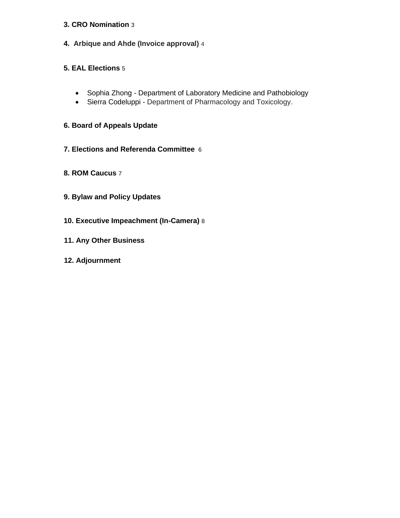#### **3. CRO Nomination** 3

**4. Arbique and Ahde (Invoice approval)** 4

### **5. EAL Elections** 5

- Sophia Zhong Department of Laboratory Medicine and Pathobiology
- Sierra Codeluppi Department of Pharmacology and Toxicology.

# **6. Board of Appeals Update**

- **7. Elections and Referenda Committee** 6
- **8. ROM Caucus** 7
- **9. Bylaw and Policy Updates**
- **10. Executive Impeachment (In-Camera)** 8
- **11. Any Other Business**
- **12. Adjournment**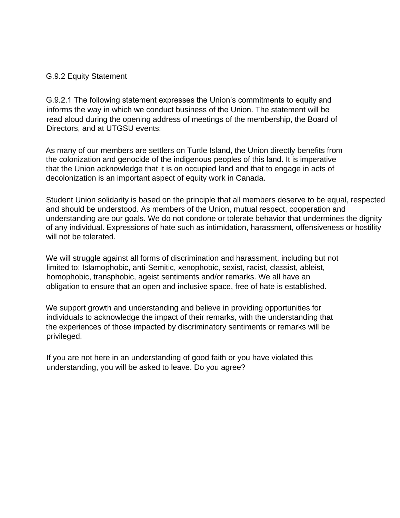### G.9.2 Equity Statement

G.9.2.1 The following statement expresses the Union's commitments to equity and informs the way in which we conduct business of the Union. The statement will be read aloud during the opening address of meetings of the membership, the Board of Directors, and at UTGSU events:

As many of our members are settlers on Turtle Island, the Union directly benefits from the colonization and genocide of the indigenous peoples of this land. It is imperative that the Union acknowledge that it is on occupied land and that to engage in acts of decolonization is an important aspect of equity work in Canada.

Student Union solidarity is based on the principle that all members deserve to be equal, respected and should be understood. As members of the Union, mutual respect, cooperation and understanding are our goals. We do not condone or tolerate behavior that undermines the dignity of any individual. Expressions of hate such as intimidation, harassment, offensiveness or hostility will not be tolerated.

We will struggle against all forms of discrimination and harassment, including but not limited to: Islamophobic, anti-Semitic, xenophobic, sexist, racist, classist, ableist, homophobic, transphobic, ageist sentiments and/or remarks. We all have an obligation to ensure that an open and inclusive space, free of hate is established.

We support growth and understanding and believe in providing opportunities for individuals to acknowledge the impact of their remarks, with the understanding that the experiences of those impacted by discriminatory sentiments or remarks will be privileged.

If you are not here in an understanding of good faith or you have violated this understanding, you will be asked to leave. Do you agree?